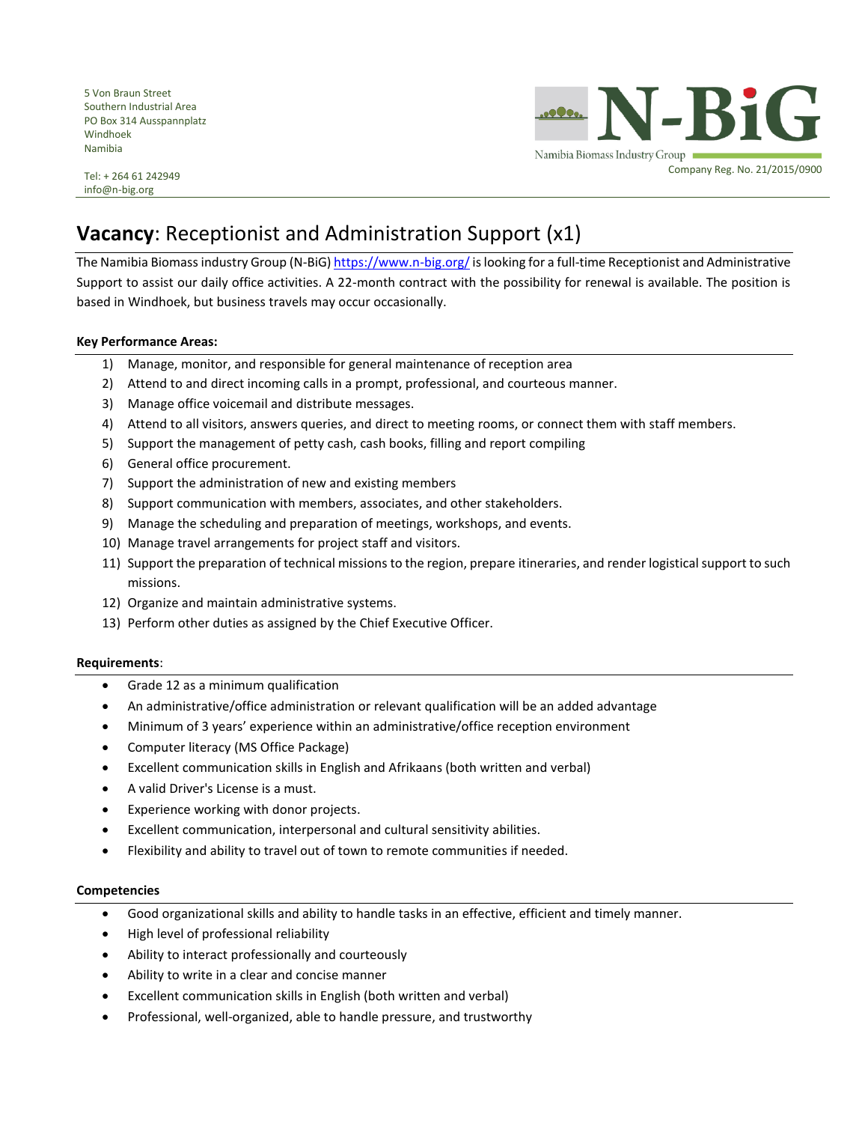5 Von Braun Street Southern Industrial Area PO Box 314 Ausspannplatz Windhoek Namibia

N-BiG Namibia Biomass Industry Group Company Reg. No. 21/2015/0900

Tel: + 264 61 242949 info@n-big.org

# **Vacancy**: Receptionist and Administration Support (x1)

The Namibia Biomass industry Group (N-BiG) <https://www.n-big.org/> is looking for a full-time Receptionist and Administrative Support to assist our daily office activities. A 22-month contract with the possibility for renewal is available. The position is based in Windhoek, but business travels may occur occasionally.

### **Key Performance Areas:**

- 1) Manage, monitor, and responsible for general maintenance of reception area
- 2) Attend to and direct incoming calls in a prompt, professional, and courteous manner.
- 3) Manage office voicemail and distribute messages.
- 4) Attend to all visitors, answers queries, and direct to meeting rooms, or connect them with staff members.
- 5) Support the management of petty cash, cash books, filling and report compiling
- 6) General office procurement.
- 7) Support the administration of new and existing members
- 8) Support communication with members, associates, and other stakeholders.
- 9) Manage the scheduling and preparation of meetings, workshops, and events.
- 10) Manage travel arrangements for project staff and visitors.
- 11) Support the preparation of technical missions to the region, prepare itineraries, and render logistical support to such missions.
- 12) Organize and maintain administrative systems.
- 13) Perform other duties as assigned by the Chief Executive Officer.

#### **Requirements**:

- Grade 12 as a minimum qualification
- An administrative/office administration or relevant qualification will be an added advantage
- Minimum of 3 years' experience within an administrative/office reception environment
- Computer literacy (MS Office Package)
- Excellent communication skills in English and Afrikaans (both written and verbal)
- A valid Driver's License is a must.
- Experience working with donor projects.
- Excellent communication, interpersonal and cultural sensitivity abilities.
- Flexibility and ability to travel out of town to remote communities if needed.

#### **Competencies**

- Good organizational skills and ability to handle tasks in an effective, efficient and timely manner.
- High level of professional reliability
- Ability to interact professionally and courteously
- Ability to write in a clear and concise manner
- Excellent communication skills in English (both written and verbal)
- Professional, well-organized, able to handle pressure, and trustworthy